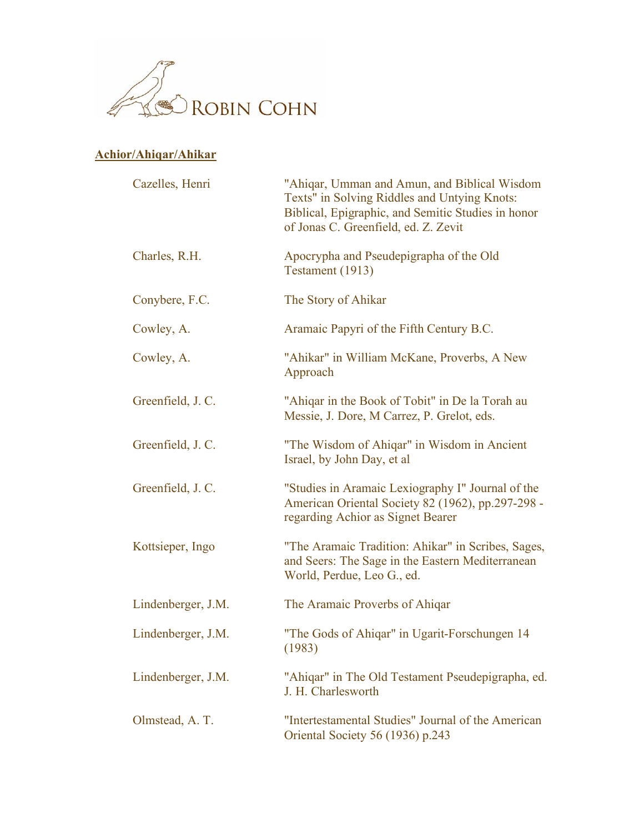

## **Achior/Ahiqar/Ahikar**

| Cazelles, Henri    | "Ahigar, Umman and Amun, and Biblical Wisdom<br>Texts" in Solving Riddles and Untying Knots:<br>Biblical, Epigraphic, and Semitic Studies in honor<br>of Jonas C. Greenfield, ed. Z. Zevit |
|--------------------|--------------------------------------------------------------------------------------------------------------------------------------------------------------------------------------------|
| Charles, R.H.      | Apocrypha and Pseudepigrapha of the Old<br>Testament (1913)                                                                                                                                |
| Conybere, F.C.     | The Story of Ahikar                                                                                                                                                                        |
| Cowley, A.         | Aramaic Papyri of the Fifth Century B.C.                                                                                                                                                   |
| Cowley, A.         | "Ahikar" in William McKane, Proverbs, A New<br>Approach                                                                                                                                    |
| Greenfield, J.C.   | "Ahigar in the Book of Tobit" in De la Torah au<br>Messie, J. Dore, M Carrez, P. Grelot, eds.                                                                                              |
| Greenfield, J.C.   | "The Wisdom of Ahigar" in Wisdom in Ancient<br>Israel, by John Day, et al                                                                                                                  |
| Greenfield, J.C.   | "Studies in Aramaic Lexiography I" Journal of the<br>American Oriental Society 82 (1962), pp.297-298 -<br>regarding Achior as Signet Bearer                                                |
| Kottsieper, Ingo   | "The Aramaic Tradition: Ahikar" in Scribes, Sages,<br>and Seers: The Sage in the Eastern Mediterranean<br>World, Perdue, Leo G., ed.                                                       |
| Lindenberger, J.M. | The Aramaic Proverbs of Ahigar                                                                                                                                                             |
| Lindenberger, J.M. | "The Gods of Ahiqar" in Ugarit-Forschungen 14<br>(1983)                                                                                                                                    |
| Lindenberger, J.M. | "Ahigar" in The Old Testament Pseudepigrapha, ed.<br>J. H. Charlesworth                                                                                                                    |
| Olmstead, A. T.    | "Intertestamental Studies" Journal of the American<br>Oriental Society 56 (1936) p.243                                                                                                     |